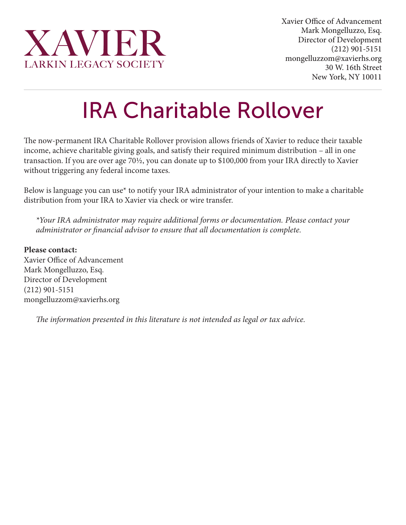

## IRA Charitable Rollover

The now-permanent IRA Charitable Rollover provision allows friends of Xavier to reduce their taxable income, achieve charitable giving goals, and satisfy their required minimum distribution – all in one transaction. If you are over age 70½, you can donate up to \$100,000 from your IRA directly to Xavier without triggering any federal income taxes.

Below is language you can use\* to notify your IRA administrator of your intention to make a charitable distribution from your IRA to Xavier via check or wire transfer.

*\*Your IRA administrator may require additional forms or documentation. Please contact your administrator or financial advisor to ensure that all documentation is complete.*

**Please contact:** Xavier Office of Advancement Mark Mongelluzzo, Esq. Director of Development (212) 901-5151 mongelluzzom@xavierhs.org

*The information presented in this literature is not intended as legal or tax advice.*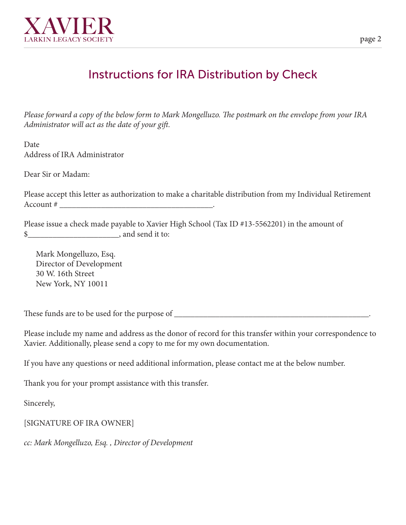

## Instructions for IRA Distribution by Check

*Please forward a copy of the below form to Mark Mongelluzo. The postmark on the envelope from your IRA Administrator will act as the date of your gift.*

Date Address of IRA Administrator

Dear Sir or Madam:

Please accept this letter as authorization to make a charitable distribution from my Individual Retirement Account # \_\_\_\_\_\_\_\_\_\_\_\_\_\_\_\_\_\_\_\_\_\_\_\_\_\_\_\_\_\_\_\_\_\_\_\_\_.

Please issue a check made payable to Xavier High School (Tax ID #13-5562201) in the amount of  $\quad$  , and send it to:

Mark Mongelluzo, Esq. Director of Development 30 W. 16th Street New York, NY 10011

These funds are to be used for the purpose of \_\_\_\_\_\_\_\_\_\_\_\_\_\_\_\_\_\_\_\_\_\_\_\_\_\_\_\_\_\_\_\_\_\_\_\_\_\_\_\_\_\_\_\_\_\_\_.

Please include my name and address as the donor of record for this transfer within your correspondence to Xavier. Additionally, please send a copy to me for my own documentation.

If you have any questions or need additional information, please contact me at the below number.

Thank you for your prompt assistance with this transfer.

Sincerely,

[SIGNATURE OF IRA OWNER]

*cc: Mark Mongelluzo, Esq. , Director of Development*